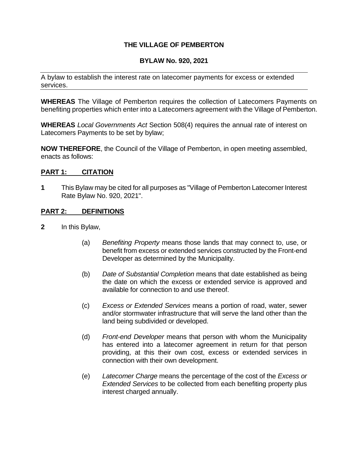## **THE VILLAGE OF PEMBERTON**

## **BYLAW No. 920, 2021**

A bylaw to establish the interest rate on latecomer payments for excess or extended services.

**WHEREAS** The Village of Pemberton requires the collection of Latecomers Payments on benefiting properties which enter into a Latecomers agreement with the Village of Pemberton.

**WHEREAS** *Local Governments Act* Section 508(4) requires the annual rate of interest on Latecomers Payments to be set by bylaw;

**NOW THEREFORE**, the Council of the Village of Pemberton, in open meeting assembled, enacts as follows:

## **PART 1: CITATION**

**1** This Bylaw may be cited for all purposes as "Village of Pemberton Latecomer Interest Rate Bylaw No. 920, 2021".

## **PART 2: DEFINITIONS**

- **2** In this Bylaw,
	- (a) *Benefiting Property* means those lands that may connect to, use, or benefit from excess or extended services constructed by the Front-end Developer as determined by the Municipality.
	- (b) *Date of Substantial Completion* means that date established as being the date on which the excess or extended service is approved and available for connection to and use thereof.
	- (c) *Excess or Extended Services* means a portion of road, water, sewer and/or stormwater infrastructure that will serve the land other than the land being subdivided or developed.
	- (d) *Front-end Developer* means that person with whom the Municipality has entered into a latecomer agreement in return for that person providing, at this their own cost, excess or extended services in connection with their own development.
	- (e) *Latecomer Charge* means the percentage of the cost of the *Excess or Extended Services* to be collected from each benefiting property plus interest charged annually.